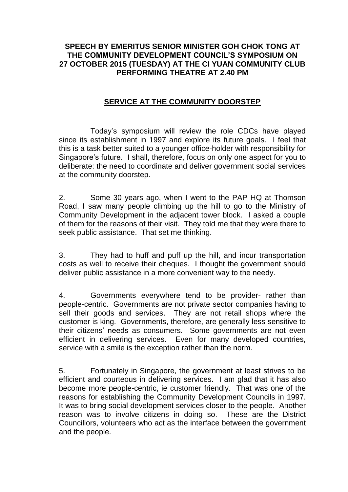## **SPEECH BY EMERITUS SENIOR MINISTER GOH CHOK TONG AT THE COMMUNITY DEVELOPMENT COUNCIL'S SYMPOSIUM ON 27 OCTOBER 2015 (TUESDAY) AT THE CI YUAN COMMUNITY CLUB PERFORMING THEATRE AT 2.40 PM**

## **SERVICE AT THE COMMUNITY DOORSTEP**

Today's symposium will review the role CDCs have played since its establishment in 1997 and explore its future goals. I feel that this is a task better suited to a younger office-holder with responsibility for Singapore's future. I shall, therefore, focus on only one aspect for you to deliberate: the need to coordinate and deliver government social services at the community doorstep.

2. Some 30 years ago, when I went to the PAP HQ at Thomson Road, I saw many people climbing up the hill to go to the Ministry of Community Development in the adjacent tower block. I asked a couple of them for the reasons of their visit. They told me that they were there to seek public assistance. That set me thinking.

3. They had to huff and puff up the hill, and incur transportation costs as well to receive their cheques. I thought the government should deliver public assistance in a more convenient way to the needy.

4. Governments everywhere tend to be provider- rather than people-centric. Governments are not private sector companies having to sell their goods and services. They are not retail shops where the customer is king. Governments, therefore, are generally less sensitive to their citizens' needs as consumers. Some governments are not even efficient in delivering services. Even for many developed countries, service with a smile is the exception rather than the norm.

5. Fortunately in Singapore, the government at least strives to be efficient and courteous in delivering services. I am glad that it has also become more people-centric, ie customer friendly. That was one of the reasons for establishing the Community Development Councils in 1997. It was to bring social development services closer to the people. Another reason was to involve citizens in doing so. These are the District Councillors, volunteers who act as the interface between the government and the people.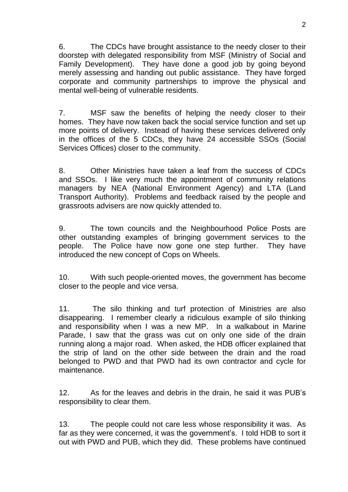6. The CDCs have brought assistance to the needy closer to their doorstep with delegated responsibility from MSF (Ministry of Social and Family Development). They have done a good job by going beyond merely assessing and handing out public assistance. They have forged corporate and community partnerships to improve the physical and mental well-being of vulnerable residents.

7. MSF saw the benefits of helping the needy closer to their homes. They have now taken back the social service function and set up more points of delivery. Instead of having these services delivered only in the offices of the 5 CDCs, they have 24 accessible SSOs (Social Services Offices) closer to the community.

8. Other Ministries have taken a leaf from the success of CDCs and SSOs. I like very much the appointment of community relations managers by NEA (National Environment Agency) and LTA (Land Transport Authority). Problems and feedback raised by the people and grassroots advisers are now quickly attended to.

9. The town councils and the Neighbourhood Police Posts are other outstanding examples of bringing government services to the people. The Police have now gone one step further. They have introduced the new concept of Cops on Wheels.

10. With such people-oriented moves, the government has become closer to the people and vice versa.

11. The silo thinking and turf protection of Ministries are also disappearing. I remember clearly a ridiculous example of silo thinking and responsibility when I was a new MP. In a walkabout in Marine Parade, I saw that the grass was cut on only one side of the drain running along a major road. When asked, the HDB officer explained that the strip of land on the other side between the drain and the road belonged to PWD and that PWD had its own contractor and cycle for maintenance.

12. As for the leaves and debris in the drain, he said it was PUB's responsibility to clear them.

13. The people could not care less whose responsibility it was. As far as they were concerned, it was the government's. I told HDB to sort it out with PWD and PUB, which they did. These problems have continued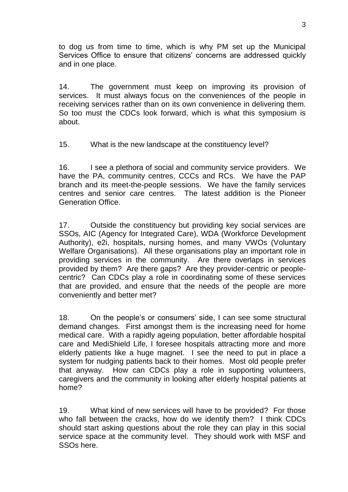to dog us from time to time, which is why PM set up the Municipal Services Office to ensure that citizens' concerns are addressed quickly and in one place.

14. The government must keep on improving its provision of services. It must always focus on the conveniences of the people in receiving services rather than on its own convenience in delivering them. So too must the CDCs look forward, which is what this symposium is about.

15. What is the new landscape at the constituency level?

16. I see a plethora of social and community service providers. We have the PA, community centres, CCCs and RCs. We have the PAP branch and its meet-the-people sessions. We have the family services centres and senior care centres. The latest addition is the Pioneer Generation Office.

17. Outside the constituency but providing key social services are SSOs, AIC (Agency for Integrated Care), WDA (Workforce Development Authority), e2i, hospitals, nursing homes, and many VWOs (Voluntary Welfare Organisations). All these organisations play an important role in providing services in the community. Are there overlaps in services provided by them? Are there gaps? Are they provider-centric or peoplecentric? Can CDCs play a role in coordinating some of these services that are provided, and ensure that the needs of the people are more conveniently and better met?

18. On the people's or consumers' side, I can see some structural demand changes. First amongst them is the increasing need for home medical care. With a rapidly ageing population, better affordable hospital care and MediShield Life, I foresee hospitals attracting more and more elderly patients like a huge magnet. I see the need to put in place a system for nudging patients back to their homes. Most old people prefer that anyway. How can CDCs play a role in supporting volunteers, caregivers and the community in looking after elderly hospital patients at home?

19. What kind of new services will have to be provided? For those who fall between the cracks, how do we identify them? I think CDCs should start asking questions about the role they can play in this social service space at the community level. They should work with MSF and SSOs here.